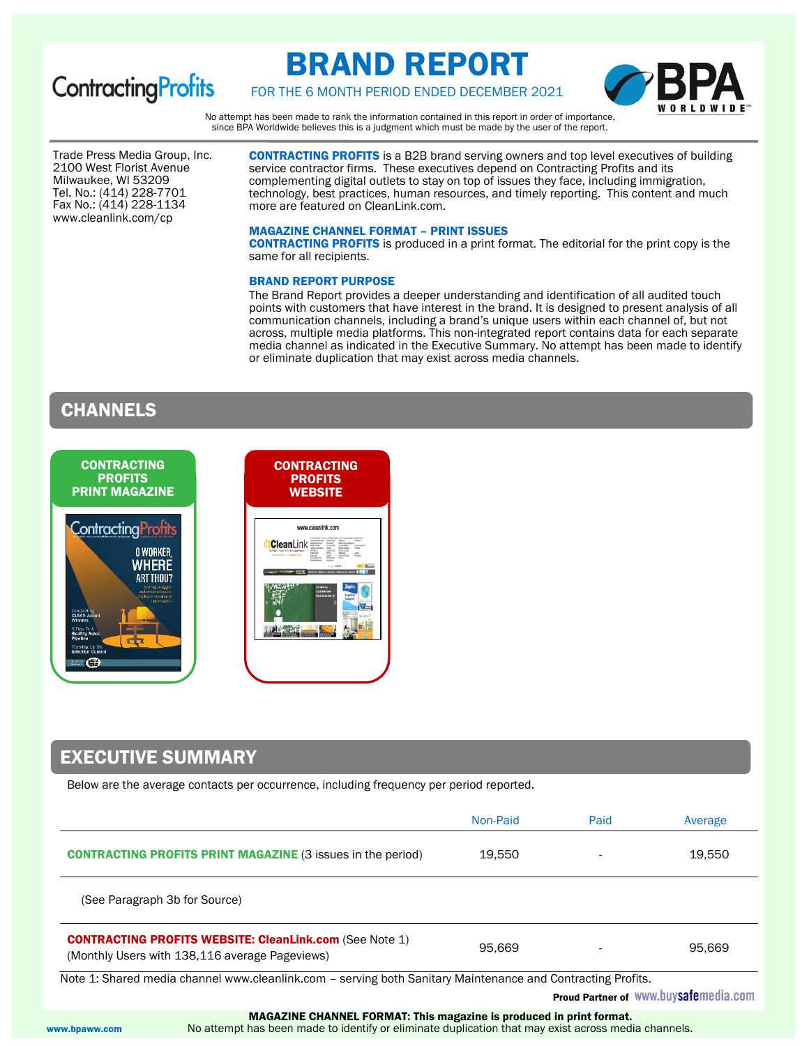

# BRAND REPORT



# FOR THE 6 MONTH PERIOD ENDED DECEMBER 2021

No attempt has been made to rank the information contained in this report in order of importance, since BPA Worldwide believes this is a judgment which must be made by the user of the report.

Trade Press Media Group, Inc. 2100 West Florist Avenue Milwaukee, WI 53209 Tel. No.: (414) 228-7701 Fax No.: (414) 228-1134 www.cleanlink.com/cp

CONTRACTING PROFITS is a B2B brand serving owners and top level executives of building service contractor firms. These executives depend on Contracting Profits and its complementing digital outlets to stay on top of issues they face, including immigration, technology, best practices, human resources, and timely reporting. This content and much more are featured on CleanLink.com.

#### MAGAZINE CHANNEL FORMAT – PRINT ISSUES

CONTRACTING PROFITS is produced in a print format. The editorial for the print copy is the same for all recipients.

### BRAND REPORT PURPOSE

The Brand Report provides a deeper understanding and identification of all audited touch points with customers that have interest in the brand. It is designed to present analysis of all communication channels, including a brand's unique users within each channel of, but not across, multiple media platforms. This non-integrated report contains data for each separate media channel as indicated in the Executive Summary. No attempt has been made to identify or eliminate duplication that may exist across media channels.

# CHANNELS



# EXECUTIVE SUMMARY

Below are the average contacts per occurrence, including frequency per period reported.

|                                                                                                                  | Non-Paid | Paid | Average |
|------------------------------------------------------------------------------------------------------------------|----------|------|---------|
| <b>CONTRACTING PROFITS PRINT MAGAZINE (3 issues in the period)</b>                                               | 19,550   |      | 19,550  |
| (See Paragraph 3b for Source)                                                                                    |          |      |         |
| <b>CONTRACTING PROFITS WEBSITE: CleanLink.com (See Note 1)</b><br>(Monthly Users with 138,116 average Pageviews) | 95,669   |      | 95,669  |

Note 1: Shared media channel www.cleanlink.com – serving both Sanitary Maintenance and Contracting Profits.

Proud Partner of WWW.buysafemedia.com

MAGAZINE CHANNEL FORMAT: This magazine is produced in print format.

www.bpaww.com No attempt has been made to identify or eliminate duplication that may exist across media channels.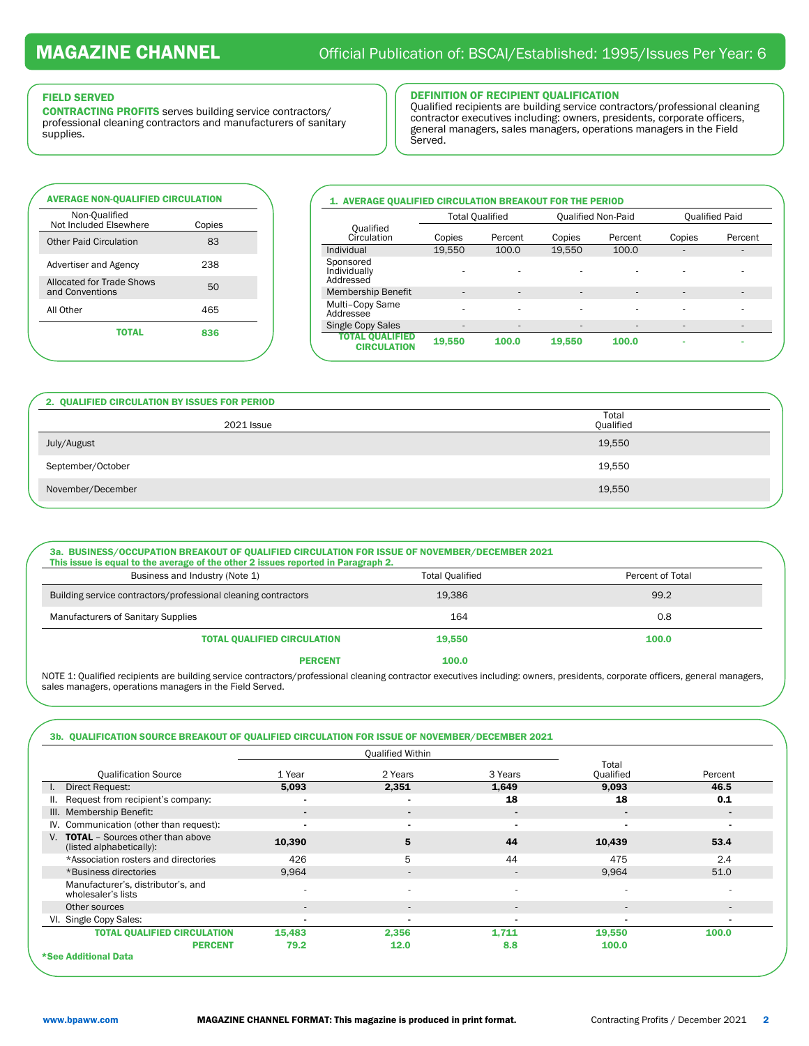#### FIELD SERVED

CONTRACTING PROFITS serves building service contractors/ professional cleaning contractors and manufacturers of sanitary supplies.

## DEFINITION OF RECIPIENT QUALIFICATION

Qualified recipients are building service contractors/professional cleaning contractor executives including: owners, presidents, corporate officers, general managers, sales managers, operations managers in the Field Served.

| <b>AVERAGE NON-OUALIFIED CIRCULATION</b><br>Non-Oualified |        |
|-----------------------------------------------------------|--------|
| Not Included Elsewhere                                    | Copies |
| <b>Other Paid Circulation</b>                             | 83     |
| Advertiser and Agency                                     | 238    |
| Allocated for Trade Shows<br>and Conventions              | 50     |
| All Other                                                 | 465    |
| <b>TOTAL</b>                                              | 836    |

## 1. AVERAGE QUALIFIED CIRCULATION BREAKOUT FOR THE PERIOD Total Qualified Qualified Non-Paid Qualified Paid Qualified

| vuallitu<br>Circulation                      | Copies                   | Percent                      | Copies                       | Percent | Copies                   | Percent |
|----------------------------------------------|--------------------------|------------------------------|------------------------------|---------|--------------------------|---------|
| Individual                                   | 19.550                   | 100.0                        | 19.550                       | 100.0   | $\overline{\phantom{a}}$ | -       |
| Sponsored<br>Individually<br>Addressed       | $\overline{\phantom{a}}$ | ۰                            |                              | ۰       |                          |         |
| Membership Benefit                           | $\overline{\phantom{a}}$ | ٠                            | $\qquad \qquad \blacksquare$ | ۰       | $\overline{\phantom{a}}$ | -       |
| Multi-Copy Same<br>Addressee                 | ۰                        | ٠                            | ۰                            | ٠       | ۰                        | ۰       |
| <b>Single Copy Sales</b>                     | $\overline{\phantom{a}}$ | $\qquad \qquad \blacksquare$ | ۰                            | ۰       | ۰                        |         |
| <b>TOTAL OUALIFIED</b><br><b>CIRCULATION</b> | 19,550                   | 100.0                        | 19.550                       | 100.0   | ۰                        |         |
|                                              |                          |                              |                              |         |                          |         |

| 2. QUALIFIED CIRCULATION BY ISSUES FOR PERIOD |                    |
|-----------------------------------------------|--------------------|
| <b>2021 Issue</b>                             | Total<br>Qualified |
| July/August                                   | 19,550             |
| September/October                             | 19,550             |
| November/December                             | 19,550             |

| 3a. BUSINESS/OCCUPATION BREAKOUT OF QUALIFIED CIRCULATION FOR ISSUE OF NOVEMBER/DECEMBER 2021<br>This issue is equal to the average of the other 2 issues reported in Paragraph 2. |                        |                  |
|------------------------------------------------------------------------------------------------------------------------------------------------------------------------------------|------------------------|------------------|
| Business and Industry (Note 1)                                                                                                                                                     | <b>Total Oualified</b> | Percent of Total |
| Building service contractors/professional cleaning contractors                                                                                                                     | 19,386                 | 99.2             |
| <b>Manufacturers of Sanitary Supplies</b>                                                                                                                                          | 164                    | 0.8              |
| TOTAL QUALIFIED CIRCULATION                                                                                                                                                        | 19.550                 | 100.0            |
| <b>PERCENT</b>                                                                                                                                                                     | 100.0                  |                  |

NOTE 1: Qualified recipients are building service contractors/professional cleaning contractor executives including: owners, presidents, corporate officers, general managers, sales managers, operations managers in the Field Served.

## 3b. QUALIFICATION SOURCE BREAKOUT OF QUALIFIED CIRCULATION FOR ISSUE OF NOVEMBER/DECEMBER 2021

|                                                                        |                          | <b>Qualified Within</b>  |                          |                          |                |
|------------------------------------------------------------------------|--------------------------|--------------------------|--------------------------|--------------------------|----------------|
| <b>Qualification Source</b>                                            | 1 Year                   | 2 Years                  | 3 Years                  | Total<br>Qualified       | Percent        |
| Direct Request:<br>$\mathbf{L}$                                        | 5.093                    | 2,351                    | 1,649                    | 9,093                    | 46.5           |
| II. Request from recipient's company:                                  |                          | $\overline{\phantom{0}}$ | 18                       | 18                       | 0.1            |
| III. Membership Benefit:                                               | ٠                        | $\blacksquare$           | $\blacksquare$           | $\blacksquare$           |                |
| IV. Communication (other than request):                                |                          | $\blacksquare$           | $\blacksquare$           | $\blacksquare$           |                |
| V. <b>TOTAL</b> - Sources other than above<br>(listed alphabetically): | 10,390                   | 5                        | 44                       | 10,439                   | 53.4           |
| *Association rosters and directories                                   | 426                      | 5                        | 44                       | 475                      | 2.4            |
| *Business directories                                                  | 9.964                    | $\sim$                   | $\sim$                   | 9,964                    | 51.0           |
| Manufacturer's, distributor's, and<br>wholesaler's lists               |                          | ٠                        | ۰                        | $\overline{\phantom{a}}$ |                |
| Other sources                                                          | $\overline{\phantom{a}}$ | $\overline{\phantom{a}}$ | $\overline{\phantom{0}}$ | $\sim$                   | $\sim$         |
| VI. Single Copy Sales:                                                 | $\blacksquare$           | $\overline{\phantom{0}}$ | $\overline{\phantom{0}}$ | $\blacksquare$           | $\blacksquare$ |
| <b>TOTAL QUALIFIED CIRCULATION</b>                                     | 15,483                   | 2,356                    | 1.711                    | 19,550                   | 100.0          |
| <b>PERCENT</b>                                                         | 79.2                     | 12.0                     | 8.8                      | 100.0                    |                |
| *See Additional Data                                                   |                          |                          |                          |                          |                |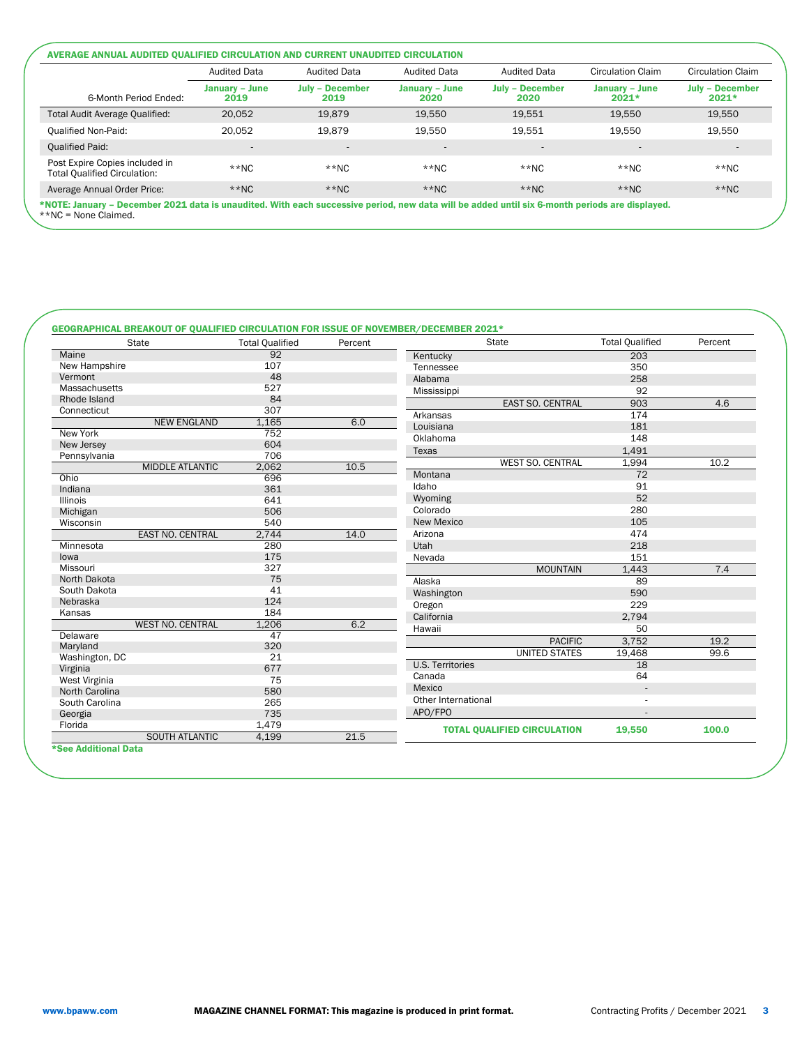|                                                                       | <b>Audited Data</b>    | <b>Audited Data</b>            | <b>Audited Data</b>      | <b>Audited Data</b>            | Circulation Claim         | Circulation Claim                 |  |
|-----------------------------------------------------------------------|------------------------|--------------------------------|--------------------------|--------------------------------|---------------------------|-----------------------------------|--|
| 6-Month Period Ended:                                                 | January - June<br>2019 | <b>July - December</b><br>2019 | January – June<br>2020   | <b>July - December</b><br>2020 | January – June<br>$2021*$ | <b>July - December</b><br>$2021*$ |  |
| Total Audit Average Qualified:                                        | 20.052                 | 19.879                         | 19.550                   | 19.551                         | 19.550                    | 19.550                            |  |
| <b>Oualified Non-Paid:</b>                                            | 20.052                 | 19.879                         | 19.550                   | 19.551                         | 19.550                    | 19.550                            |  |
| Oualified Paid:                                                       |                        | -                              | $\overline{\phantom{a}}$ |                                | $\overline{\phantom{a}}$  | $\overline{a}$                    |  |
| Post Expire Copies included in<br><b>Total Qualified Circulation:</b> | $*$ NC                 | $**NC$                         | $*$ NC                   | $*$ NC                         | $**NC$                    | $**NC$                            |  |
| Average Annual Order Price:                                           | $*$ NC                 | $**NC$                         | $*$ NC                   | $*$ NC                         | $*$ NC                    | $*$ NC                            |  |

## GEOGRAPHICAL BREAKOUT OF QUALIFIED CIRCULATION FOR ISSUE OF NOVEMBER/DECEMBER 2021\*

|                 | <b>State</b>            | <b>Total Qualified</b> | Percent | <b>State</b>                       | <b>Total Qualified</b> | Percent |
|-----------------|-------------------------|------------------------|---------|------------------------------------|------------------------|---------|
| Maine           |                         | 92                     |         | Kentucky                           | 203                    |         |
| New Hampshire   |                         | 107                    |         | Tennessee                          | 350                    |         |
| Vermont         |                         | 48                     |         | Alabama                            | 258                    |         |
| Massachusetts   |                         | 527                    |         | Mississippi                        | 92                     |         |
| Rhode Island    |                         | 84                     |         | EAST SO. CENTRAL                   | 903                    | 4.6     |
| Connecticut     |                         | 307                    |         | Arkansas                           | 174                    |         |
|                 | <b>NEW ENGLAND</b>      | 1,165                  | 6.0     | Louisiana                          | 181                    |         |
| New York        |                         | 752                    |         | Oklahoma                           | 148                    |         |
| New Jersey      |                         | 604                    |         | Texas                              | 1,491                  |         |
| Pennsylvania    |                         | 706                    |         | WEST SO. CENTRAL                   | 1,994                  | 10.2    |
|                 | <b>MIDDLE ATLANTIC</b>  | 2,062                  | 10.5    |                                    | 72                     |         |
| Ohio            |                         | 696                    |         | Montana                            |                        |         |
| Indiana         |                         | 361                    |         | Idaho                              | 91                     |         |
| <b>Illinois</b> |                         | 641                    |         | Wyoming                            | 52                     |         |
| Michigan        |                         | 506                    |         | Colorado                           | 280                    |         |
| Wisconsin       |                         | 540                    |         | New Mexico                         | 105                    |         |
|                 | <b>EAST NO. CENTRAL</b> | 2,744                  | 14.0    | Arizona                            | 474                    |         |
| Minnesota       |                         | 280                    |         | Utah                               | 218                    |         |
| lowa            |                         | 175                    |         | Nevada                             | 151                    |         |
| Missouri        |                         | 327                    |         | <b>MOUNTAIN</b>                    | 1,443                  | 7.4     |
| North Dakota    |                         | 75                     |         | Alaska                             | 89                     |         |
| South Dakota    |                         | 41                     |         | Washington                         | 590                    |         |
| Nebraska        |                         | 124                    |         | Oregon                             | 229                    |         |
| Kansas          |                         | 184                    |         | California                         | 2,794                  |         |
|                 | <b>WEST NO. CENTRAL</b> | 1,206                  | 6.2     | Hawaii                             | 50                     |         |
| Delaware        |                         | 47                     |         | <b>PACIFIC</b>                     | 3,752                  | 19.2    |
| Maryland        |                         | 320                    |         | <b>UNITED STATES</b>               | 19,468                 | 99.6    |
| Washington, DC  |                         | 21                     |         | <b>U.S. Territories</b>            | 18                     |         |
| Virginia        |                         | 677                    |         |                                    |                        |         |
| West Virginia   |                         | 75                     |         | Canada                             | 64                     |         |
| North Carolina  |                         | 580                    |         | Mexico                             |                        |         |
| South Carolina  |                         | 265                    |         | Other International                |                        |         |
| Georgia         |                         | 735                    |         | APO/FPO                            |                        |         |
| Florida         |                         | 1,479                  |         | <b>TOTAL QUALIFIED CIRCULATION</b> | 19,550                 | 100.0   |
|                 | <b>SOUTH ATLANTIC</b>   | 4,199                  | 21.5    |                                    |                        |         |

\*See Additional Data